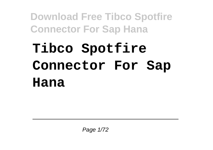## **Tibco Spotfire Connector For Sap Hana**

Page 1/72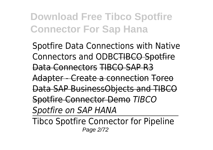Spotfire Data Connections with Native Connectors and ODBCTIBCO Spotfire Data Connectors TIBCO SAP R3 Adapter - Create a connection Toreo Data SAP BusinessObjects and TIBCO Spotfire Connector Demo *TIBCO Spotfire on SAP HANA*

Tibco Spotfire Connector for Pipeline Page 2/72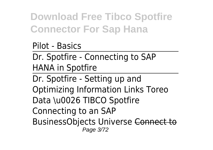Pilot - Basics

Dr. Spotfire - Connecting to SAP HANA in Spotfire

Dr. Spotfire - Setting up and Optimizing Information Links Toreo Data \u0026 TIBCO Spotfire Connecting to an SAP BusinessObjects Universe Connect to Page 3/72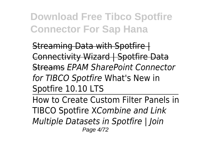Streaming Data with Spotfire | Connectivity Wizard | Spotfire Data Streams *EPAM SharePoint Connector for TIBCO Spotfire* What's New in Spotfire 10.10 LTS

How to Create Custom Filter Panels in TIBCO Spotfire X*Combine and Link Multiple Datasets in Spotfire | Join* Page 4/72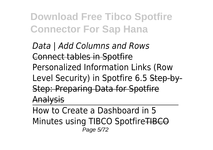*Data | Add Columns and Rows* Connect tables in Spotfire Personalized Information Links (Row Level Security) in Spotfire 6.5 Step-by-Step: Preparing Data for Spotfire Analysis

How to Create a Dashboard in 5 Minutes using TIBCO SpotfireTIBCO Page 5/72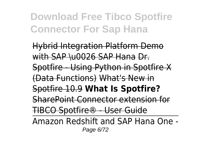Hybrid Integration Platform Demo with SAP \u0026 SAP Hana Dr. Spotfire - Using Python in Spotfire X (Data Functions) What's New in Spotfire 10.9 **What Is Spotfire?** SharePoint Connector extension for TIBCO Spotfire® - User Guide

Amazon Redshift and SAP Hana One - Page 6/72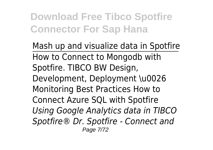Mash up and visualize data in Spotfire How to Connect to Mongodb with Spotfire. TIBCO BW Design, Development, Deployment \u0026 Monitoring Best Practices How to Connect Azure SQL with Spotfire *Using Google Analytics data in TIBCO Spotfire® Dr. Spotfire - Connect and* Page 7/72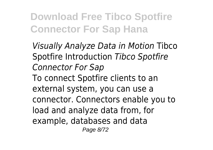*Visually Analyze Data in Motion* Tibco Spotfire Introduction *Tibco Spotfire Connector For Sap* To connect Spotfire clients to an external system, you can use a connector. Connectors enable you to load and analyze data from, for example, databases and data Page 8/72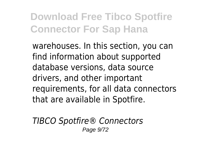warehouses. In this section, you can find information about supported database versions, data source drivers, and other important requirements, for all data connectors that are available in Spotfire.

*TIBCO Spotfire® Connectors* Page 9/72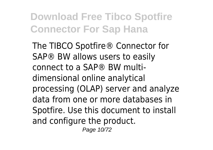The TIBCO Spotfire® Connector for SAP® BW allows users to easily connect to a SAP® BW multidimensional online analytical processing (OLAP) server and analyze data from one or more databases in Spotfire. Use this document to install and configure the product.

Page 10/72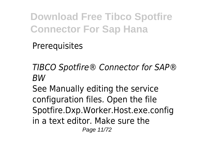**Prerequisites** 

*TIBCO Spotfire® Connector for SAP® BW*

See Manually editing the service configuration files. Open the file Spotfire.Dxp.Worker.Host.exe.config in a text editor. Make sure the Page 11/72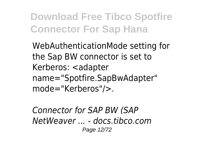WebAuthenticationMode setting for the Sap BW connector is set to Kerberos: <adapter name="Spotfire.SapBwAdapter" mode="Kerberos"/>.

*Connector for SAP BW (SAP NetWeaver ... - docs.tibco.com* Page 12/72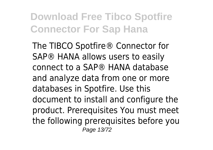The TIBCO Spotfire® Connector for SAP® HANA allows users to easily connect to a SAP® HANA database and analyze data from one or more databases in Spotfire. Use this document to install and configure the product. Prerequisites You must meet the following prerequisites before you Page 13/72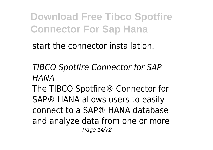start the connector installation.

*TIBCO Spotfire Connector for SAP HANA*

The TIBCO Spotfire® Connector for SAP® HANA allows users to easily connect to a SAP® HANA database and analyze data from one or more Page 14/72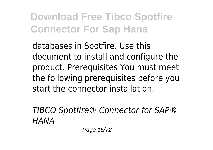databases in Spotfire. Use this document to install and configure the product. Prerequisites You must meet the following prerequisites before you start the connector installation.

*TIBCO Spotfire® Connector for SAP® HANA*

Page 15/72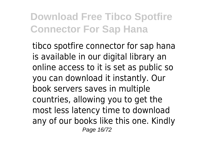tibco spotfire connector for sap hana is available in our digital library an online access to it is set as public so you can download it instantly. Our book servers saves in multiple countries, allowing you to get the most less latency time to download any of our books like this one. Kindly Page 16/72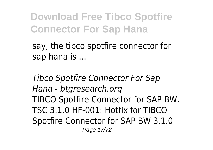say, the tibco spotfire connector for sap hana is ...

*Tibco Spotfire Connector For Sap Hana - btgresearch.org* TIBCO Spotfire Connector for SAP BW. TSC 3.1.0 HF-001: Hotfix for TIBCO Spotfire Connector for SAP BW 3.1.0 Page 17/72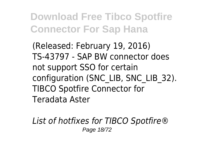(Released: February 19, 2016) TS-43797 - SAP BW connector does not support SSO for certain configuration (SNC\_LIB, SNC\_LIB\_32). TIBCO Spotfire Connector for Teradata Aster

*List of hotfixes for TIBCO Spotfire®* Page 18/72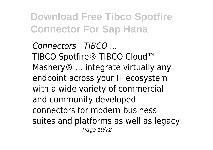*Connectors | TIBCO ...* TIBCO Spotfire® TIBCO Cloud™ Mashery<sup>®</sup> ... integrate virtually any endpoint across your IT ecosystem with a wide variety of commercial and community developed connectors for modern business suites and platforms as well as legacy Page 19/72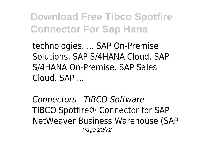technologies. ... SAP On-Premise Solutions. SAP S/4HANA Cloud. SAP S/4HANA On-Premise. SAP Sales Cloud. SAP ...

*Connectors | TIBCO Software* TIBCO Spotfire® Connector for SAP NetWeaver Business Warehouse (SAP Page 20/72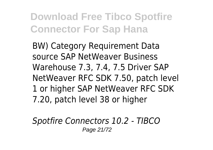BW) Category Requirement Data source SAP NetWeaver Business Warehouse 7.3, 7.4, 7.5 Driver SAP NetWeaver RFC SDK 7.50, patch level 1 or higher SAP NetWeaver RFC SDK 7.20, patch level 38 or higher

*Spotfire Connectors 10.2 - TIBCO* Page 21/72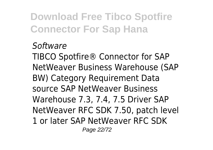## *Software*

TIBCO Spotfire® Connector for SAP NetWeaver Business Warehouse (SAP BW) Category Requirement Data source SAP NetWeaver Business Warehouse 7.3, 7.4, 7.5 Driver SAP NetWeaver RFC SDK 7.50, patch level 1 or later SAP NetWeaver RFC SDK Page 22/72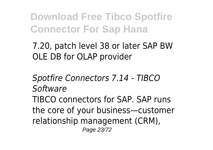7.20, patch level 38 or later SAP BW OLE DB for OLAP provider

*Spotfire Connectors 7.14 - TIBCO Software* TIBCO connectors for SAP. SAP runs the core of your business—customer relationship management (CRM), Page 23/72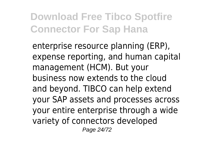enterprise resource planning (ERP), expense reporting, and human capital management (HCM). But your business now extends to the cloud and beyond. TIBCO can help extend your SAP assets and processes across your entire enterprise through a wide variety of connectors developed Page 24/72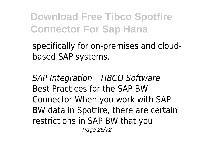specifically for on-premises and cloudbased SAP systems.

*SAP Integration | TIBCO Software* Best Practices for the SAP BW Connector When you work with SAP BW data in Spotfire, there are certain restrictions in SAP BW that you

Page 25/72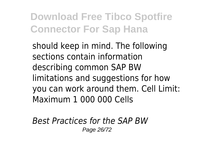should keep in mind. The following sections contain information describing common SAP BW limitations and suggestions for how you can work around them. Cell Limit: Maximum 1 000 000 Cells

*Best Practices for the SAP BW* Page 26/72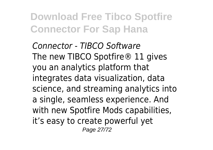*Connector - TIBCO Software* The new TIBCO Spotfire<sup>®</sup> 11 gives you an analytics platform that integrates data visualization, data science, and streaming analytics into a single, seamless experience. And with new Spotfire Mods capabilities, it's easy to create powerful yet Page 27/72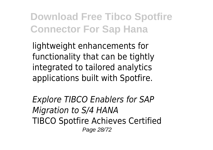lightweight enhancements for functionality that can be tightly integrated to tailored analytics applications built with Spotfire.

*Explore TIBCO Enablers for SAP Migration to S/4 HANA* TIBCO Spotfire Achieves Certified Page 28/72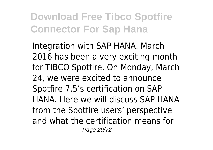Integration with SAP HANA. March 2016 has been a very exciting month for TIBCO Spotfire. On Monday, March 24, we were excited to announce Spotfire 7.5's certification on SAP HANA. Here we will discuss SAP HANA from the Spotfire users' perspective and what the certification means for Page 29/72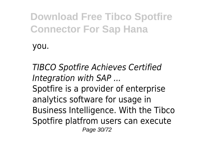you.

*TIBCO Spotfire Achieves Certified Integration with SAP ...*

Spotfire is a provider of enterprise analytics software for usage in Business Intelligence. With the Tibco Spotfire platfrom users can execute Page 30/72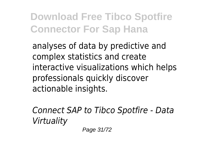analyses of data by predictive and complex statistics and create interactive visualizations which helps professionals quickly discover actionable insights.

*Connect SAP to Tibco Spotfire - Data Virtuality*

Page 31/72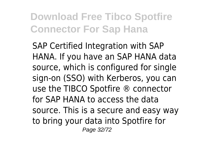SAP Certified Integration with SAP HANA. If you have an SAP HANA data source, which is configured for single sign-on (SSO) with Kerberos, you can use the TIBCO Spotfire ® connector for SAP HANA to access the data source. This is a secure and easy way to bring your data into Spotfire for Page 32/72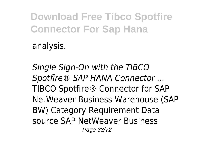analysis.

*Single Sign-On with the TIBCO Spotfire® SAP HANA Connector ...* TIBCO Spotfire® Connector for SAP NetWeaver Business Warehouse (SAP BW) Category Requirement Data source SAP NetWeaver Business Page 33/72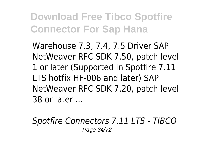Warehouse 7.3, 7.4, 7.5 Driver SAP NetWeaver RFC SDK 7.50, patch level 1 or later (Supported in Spotfire 7.11 LTS hotfix HF-006 and later) SAP NetWeaver RFC SDK 7.20, patch level 38 or later ...

*Spotfire Connectors 7.11 LTS - TIBCO* Page 34/72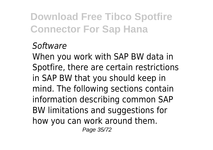## *Software*

When you work with SAP BW data in Spotfire, there are certain restrictions in SAP BW that you should keep in mind. The following sections contain information describing common SAP BW limitations and suggestions for how you can work around them. Page 35/72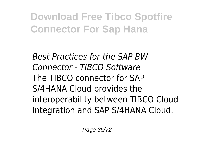*Best Practices for the SAP BW Connector - TIBCO Software* The TIBCO connector for SAP S/4HANA Cloud provides the interoperability between TIBCO Cloud Integration and SAP S/4HANA Cloud.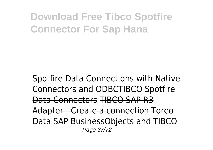Spotfire Data Connections with Native Connectors and ODBCTIBCO Spotfire Data Connectors TIBCO SAP R3 Adapter - Create a connection Toreo Data SAP BusinessObjects and TIBCO Page 37/72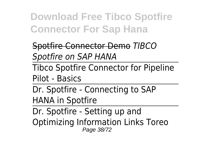Spotfire Connector Demo *TIBCO Spotfire on SAP HANA*

Tibco Spotfire Connector for Pipeline Pilot - Basics

Dr. Spotfire - Connecting to SAP HANA in Spotfire

Dr. Spotfire - Setting up and Optimizing Information Links Toreo Page 38/72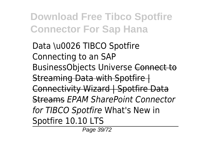Data \u0026 TIBCO Spotfire Connecting to an SAP BusinessObjects Universe Connect to Streaming Data with Spotfire | Connectivity Wizard | Spotfire Data Streams *EPAM SharePoint Connector for TIBCO Spotfire* What's New in Spotfire 10.10 LTS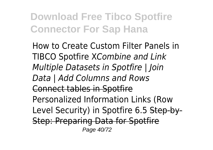How to Create Custom Filter Panels in TIBCO Spotfire X*Combine and Link Multiple Datasets in Spotfire | Join Data | Add Columns and Rows* Connect tables in Spotfire Personalized Information Links (Row Level Security) in Spotfire 6.5 Step-by-Step: Preparing Data for Spotfire Page 40/72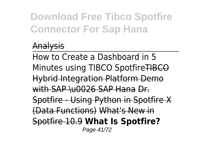## Analysis

How to Create a Dashboard in 5 Minutes using TIBCO Spotfire TIBCO Hybrid Integration Platform Demo with SAP \u0026 SAP Hana Dr. Spotfire - Using Python in Spotfire X (Data Functions) What's New in Spotfire 10.9 **What Is Spotfire?** Page 41/72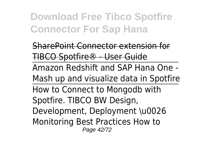SharePoint Connector extension TIBCO Spotfire® - User Guide Amazon Redshift and SAP Hana One - Mash up and visualize data in Spotfire How to Connect to Mongodb with Spotfire. TIBCO BW Design, Development, Deployment \u0026 Monitoring Best Practices How to Page 42/72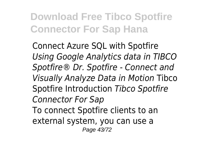Connect Azure SQL with Spotfire *Using Google Analytics data in TIBCO Spotfire® Dr. Spotfire - Connect and Visually Analyze Data in Motion* Tibco Spotfire Introduction *Tibco Spotfire Connector For Sap* To connect Spotfire clients to an external system, you can use a Page 43/72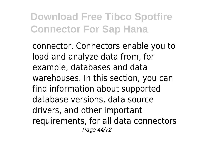connector. Connectors enable you to load and analyze data from, for example, databases and data warehouses. In this section, you can find information about supported database versions, data source drivers, and other important requirements, for all data connectors Page 44/72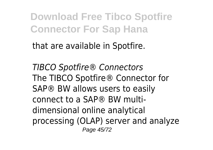that are available in Spotfire.

*TIBCO Spotfire® Connectors* The TIBCO Spotfire® Connector for SAP® BW allows users to easily connect to a SAP® BW multidimensional online analytical processing (OLAP) server and analyze Page 45/72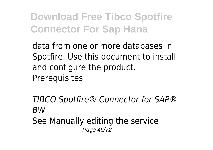data from one or more databases in Spotfire. Use this document to install and configure the product. **Prerequisites** 

*TIBCO Spotfire® Connector for SAP® BW*

See Manually editing the service Page 46/72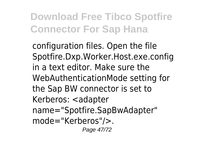configuration files. Open the file Spotfire.Dxp.Worker.Host.exe.config in a text editor. Make sure the WebAuthenticationMode setting for the Sap BW connector is set to Kerberos: <adapter name="Spotfire.SapBwAdapter" mode="Kerberos"/>. Page 47/72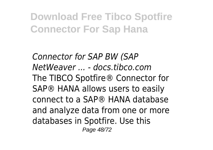*Connector for SAP BW (SAP NetWeaver ... - docs.tibco.com* The TIBCO Spotfire® Connector for SAP® HANA allows users to easily connect to a SAP® HANA database and analyze data from one or more databases in Spotfire. Use this Page 48/72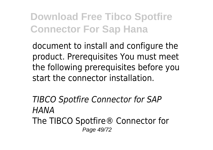document to install and configure the product. Prerequisites You must meet the following prerequisites before you start the connector installation.

*TIBCO Spotfire Connector for SAP HANA* The TIBCO Spotfire® Connector for Page 49/72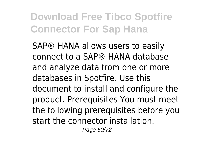SAP® HANA allows users to easily connect to a SAP® HANA database and analyze data from one or more databases in Spotfire. Use this document to install and configure the product. Prerequisites You must meet the following prerequisites before you start the connector installation.

Page 50/72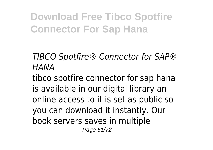*TIBCO Spotfire® Connector for SAP® HANA*

tibco spotfire connector for sap hana is available in our digital library an online access to it is set as public so you can download it instantly. Our book servers saves in multiple Page 51/72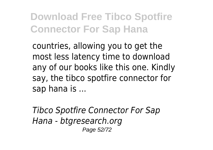countries, allowing you to get the most less latency time to download any of our books like this one. Kindly say, the tibco spotfire connector for sap hana is ...

*Tibco Spotfire Connector For Sap Hana - btgresearch.org* Page 52/72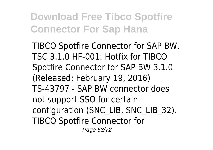TIBCO Spotfire Connector for SAP BW. TSC 3.1.0 HF-001: Hotfix for TIBCO Spotfire Connector for SAP BW 3.1.0 (Released: February 19, 2016) TS-43797 - SAP BW connector does not support SSO for certain configuration (SNC\_LIB, SNC\_LIB\_32). TIBCO Spotfire Connector for Page 53/72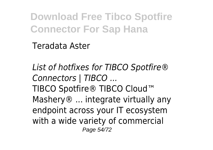Teradata Aster

*List of hotfixes for TIBCO Spotfire® Connectors | TIBCO ...* TIBCO Spotfire® TIBCO Cloud™ Mashery<sup>®</sup> ... integrate virtually any endpoint across your IT ecosystem with a wide variety of commercial Page 54/72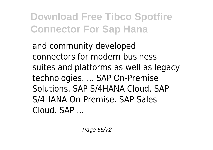and community developed connectors for modern business suites and platforms as well as legacy technologies. ... SAP On-Premise Solutions. SAP S/4HANA Cloud. SAP S/4HANA On-Premise. SAP Sales Cloud. SAP ...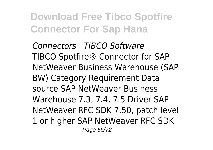*Connectors | TIBCO Software* TIBCO Spotfire® Connector for SAP NetWeaver Business Warehouse (SAP BW) Category Requirement Data source SAP NetWeaver Business Warehouse 7.3, 7.4, 7.5 Driver SAP NetWeaver RFC SDK 7.50, patch level 1 or higher SAP NetWeaver RFC SDK Page 56/72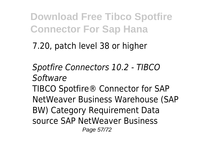7.20, patch level 38 or higher

*Spotfire Connectors 10.2 - TIBCO Software* TIBCO Spotfire® Connector for SAP NetWeaver Business Warehouse (SAP BW) Category Requirement Data source SAP NetWeaver Business

Page 57/72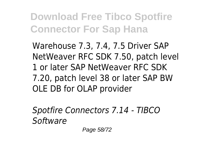Warehouse 7.3, 7.4, 7.5 Driver SAP NetWeaver RFC SDK 7.50, patch level 1 or later SAP NetWeaver RFC SDK 7.20, patch level 38 or later SAP BW OLE DB for OLAP provider

*Spotfire Connectors 7.14 - TIBCO Software*

Page 58/72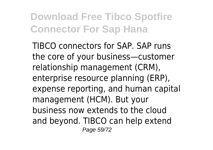TIBCO connectors for SAP. SAP runs the core of your business—customer relationship management (CRM), enterprise resource planning (ERP), expense reporting, and human capital management (HCM). But your business now extends to the cloud and beyond. TIBCO can help extend Page 59/72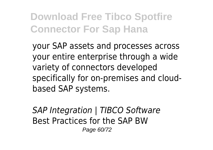your SAP assets and processes across your entire enterprise through a wide variety of connectors developed specifically for on-premises and cloudbased SAP systems.

*SAP Integration | TIBCO Software* Best Practices for the SAP BW Page 60/72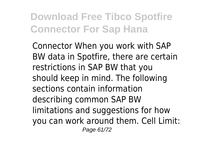Connector When you work with SAP BW data in Spotfire, there are certain restrictions in SAP BW that you should keep in mind. The following sections contain information describing common SAP BW limitations and suggestions for how you can work around them. Cell Limit: Page 61/72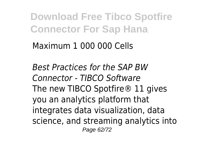Maximum 1 000 000 Cells

*Best Practices for the SAP BW Connector - TIBCO Software* The new TIBCO Spotfire<sup>®</sup> 11 gives you an analytics platform that integrates data visualization, data science, and streaming analytics into Page 62/72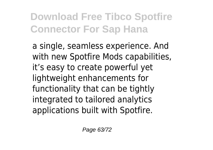a single, seamless experience. And with new Spotfire Mods capabilities, it's easy to create powerful yet lightweight enhancements for functionality that can be tightly integrated to tailored analytics applications built with Spotfire.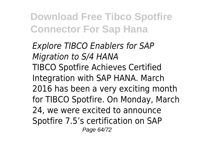*Explore TIBCO Enablers for SAP Migration to S/4 HANA* TIBCO Spotfire Achieves Certified Integration with SAP HANA. March 2016 has been a very exciting month for TIBCO Spotfire. On Monday, March 24, we were excited to announce Spotfire 7.5's certification on SAP Page 64/72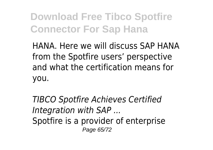HANA. Here we will discuss SAP HANA from the Spotfire users' perspective and what the certification means for you.

*TIBCO Spotfire Achieves Certified Integration with SAP ...* Spotfire is a provider of enterprise Page 65/72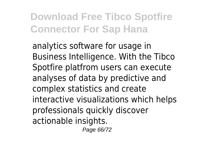analytics software for usage in Business Intelligence. With the Tibco Spotfire platfrom users can execute analyses of data by predictive and complex statistics and create interactive visualizations which helps professionals quickly discover actionable insights.

Page 66/72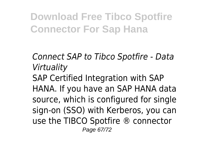*Connect SAP to Tibco Spotfire - Data Virtuality* SAP Certified Integration with SAP

HANA. If you have an SAP HANA data source, which is configured for single sign-on (SSO) with Kerberos, you can use the TIBCO Spotfire ® connector Page 67/72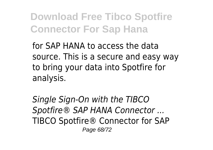for SAP HANA to access the data source. This is a secure and easy way to bring your data into Spotfire for analysis.

*Single Sign-On with the TIBCO Spotfire® SAP HANA Connector ...* TIBCO Spotfire® Connector for SAP Page 68/72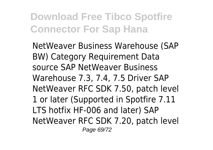NetWeaver Business Warehouse (SAP BW) Category Requirement Data source SAP NetWeaver Business Warehouse 7.3, 7.4, 7.5 Driver SAP NetWeaver RFC SDK 7.50, patch level 1 or later (Supported in Spotfire 7.11 LTS hotfix HF-006 and later) SAP NetWeaver RFC SDK 7.20, patch level Page 69/72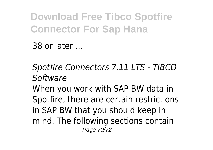38 or later ...

*Spotfire Connectors 7.11 LTS - TIBCO Software*

When you work with SAP BW data in Spotfire, there are certain restrictions in SAP BW that you should keep in mind. The following sections contain Page 70/72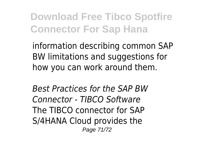information describing common SAP BW limitations and suggestions for how you can work around them.

*Best Practices for the SAP BW Connector - TIBCO Software* The TIBCO connector for SAP S/4HANA Cloud provides the Page 71/72